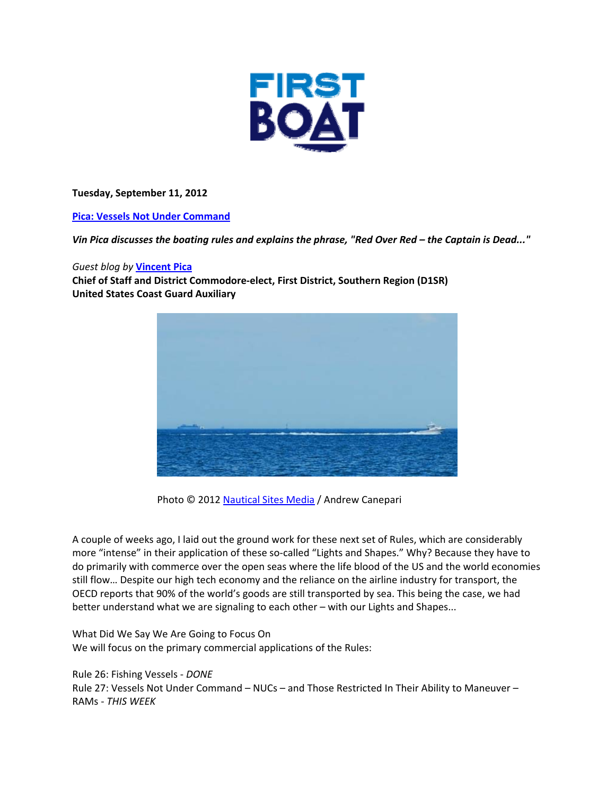

**Tuesday, September 11, 2012**

**Pica: Vessels Not Under Command** 

Vin Pica discusses the boating rules and explains the phrase, "Red Over Red - the Captain is Dead..."

# *Guest blog by* **Vincent Pica**

**Chief of Staff and District Commodore‐elect, First District, Southern Region (D1SR) United States Coast Guard Auxiliary**



Photo © 2012 Nautical Sites Media / Andrew Canepari

A couple of weeks ago, I laid out the ground work for these next set of Rules, which are considerably more "intense" in their application of these so-called "Lights and Shapes." Why? Because they have to do primarily with commerce over the open seas where the life blood of the US and the world economies still flow… Despite our high tech economy and the reliance on the airline industry for transport, the OECD reports that 90% of the world's goods are still transported by sea. This being the case, we had better understand what we are signaling to each other – with our Lights and Shapes...

What Did We Say We Are Going to Focus On We will focus on the primary commercial applications of the Rules:

# Rule 26: Fishing Vessels ‐ *DONE*

Rule 27: Vessels Not Under Command – NUCs – and Those Restricted In Their Ability to Maneuver – RAMs ‐ *THIS WEEK*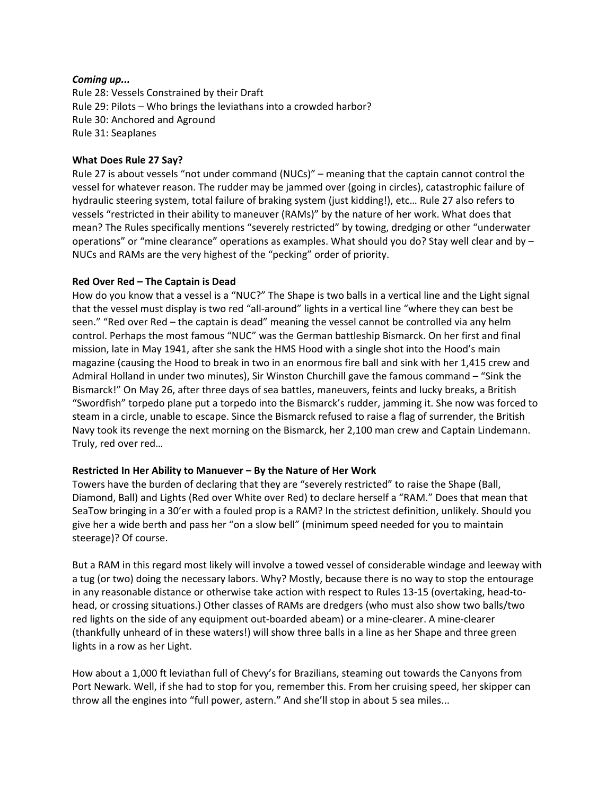#### *Coming up...*

Rule 28: Vessels Constrained by their Draft Rule 29: Pilots – Who brings the leviathans into a crowded harbor? Rule 30: Anchored and Aground Rule 31: Seaplanes

# **What Does Rule 27 Say?**

Rule 27 is about vessels "not under command (NUCs)" – meaning that the captain cannot control the vessel for whatever reason. The rudder may be jammed over (going in circles), catastrophic failure of hydraulic steering system, total failure of braking system (just kidding!), etc… Rule 27 also refers to vessels "restricted in their ability to maneuver (RAMs)" by the nature of her work. What does that mean? The Rules specifically mentions "severely restricted" by towing, dredging or other "underwater operations" or "mine clearance" operations as examples. What should you do? Stay well clear and by – NUCs and RAMs are the very highest of the "pecking" order of priority.

#### **Red Over Red – The Captain is Dead**

How do you know that a vessel is a "NUC?" The Shape is two balls in a vertical line and the Light signal that the vessel must display is two red "all‐around" lights in a vertical line "where they can best be seen." "Red over Red – the captain is dead" meaning the vessel cannot be controlled via any helm control. Perhaps the most famous "NUC" was the German battleship Bismarck. On her first and final mission, late in May 1941, after she sank the HMS Hood with a single shot into the Hood's main magazine (causing the Hood to break in two in an enormous fire ball and sink with her 1,415 crew and Admiral Holland in under two minutes), Sir Winston Churchill gave the famous command – "Sink the Bismarck!" On May 26, after three days of sea battles, maneuvers, feints and lucky breaks, a British "Swordfish" torpedo plane put a torpedo into the Bismarck's rudder, jamming it. She now was forced to steam in a circle, unable to escape. Since the Bismarck refused to raise a flag of surrender, the British Navy took its revenge the next morning on the Bismarck, her 2,100 man crew and Captain Lindemann. Truly, red over red…

# **Restricted In Her Ability to Manuever – By the Nature of Her Work**

Towers have the burden of declaring that they are "severely restricted" to raise the Shape (Ball, Diamond, Ball) and Lights (Red over White over Red) to declare herself a "RAM." Does that mean that SeaTow bringing in a 30'er with a fouled prop is a RAM? In the strictest definition, unlikely. Should you give her a wide berth and pass her "on a slow bell" (minimum speed needed for you to maintain steerage)? Of course.

But a RAM in this regard most likely will involve a towed vessel of considerable windage and leeway with a tug (or two) doing the necessary labors. Why? Mostly, because there is no way to stop the entourage in any reasonable distance or otherwise take action with respect to Rules 13‐15 (overtaking, head‐to‐ head, or crossing situations.) Other classes of RAMs are dredgers (who must also show two balls/two red lights on the side of any equipment out‐boarded abeam) or a mine‐clearer. A mine‐clearer (thankfully unheard of in these waters!) will show three balls in a line as her Shape and three green lights in a row as her Light.

How about a 1,000 ft leviathan full of Chevy's for Brazilians, steaming out towards the Canyons from Port Newark. Well, if she had to stop for you, remember this. From her cruising speed, her skipper can throw all the engines into "full power, astern." And she'll stop in about 5 sea miles...